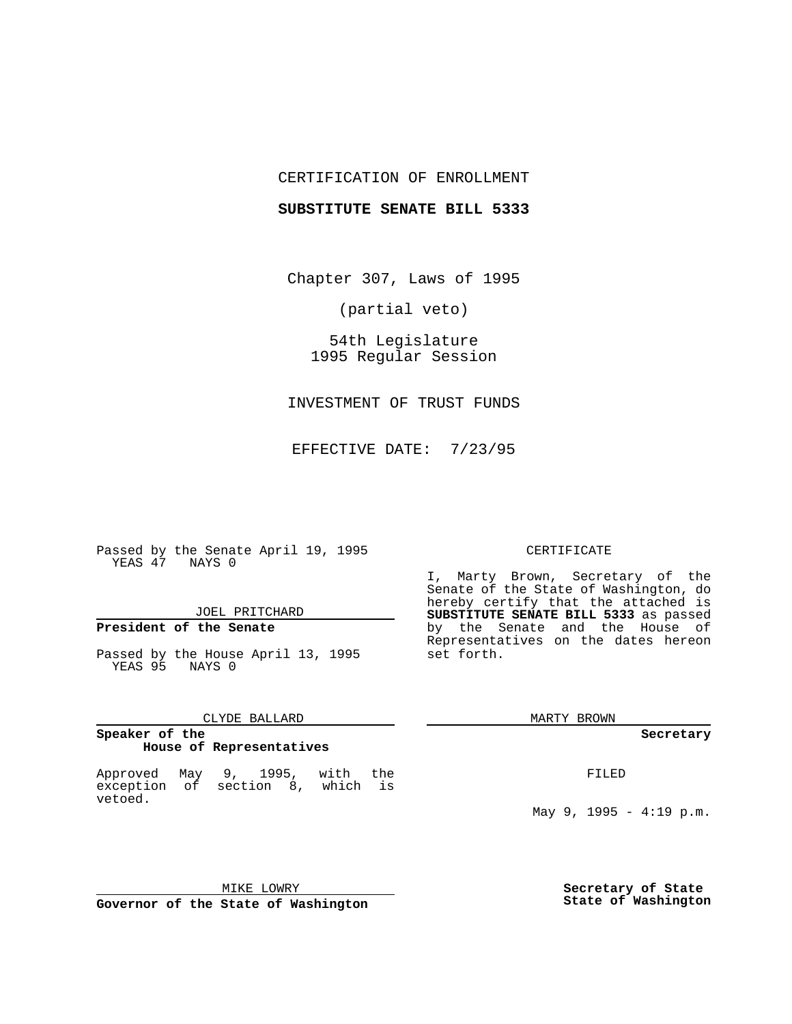## CERTIFICATION OF ENROLLMENT

### **SUBSTITUTE SENATE BILL 5333**

Chapter 307, Laws of 1995

(partial veto)

54th Legislature 1995 Regular Session

INVESTMENT OF TRUST FUNDS

EFFECTIVE DATE: 7/23/95

Passed by the Senate April 19, 1995 YEAS 47 NAYS 0

## JOEL PRITCHARD

# **President of the Senate**

Passed by the House April 13, 1995 YEAS 95 NAYS 0

### CLYDE BALLARD

#### **Speaker of the House of Representatives**

Approved May 9, 1995, with the exception of section 8, which is vetoed.

#### CERTIFICATE

I, Marty Brown, Secretary of the Senate of the State of Washington, do hereby certify that the attached is **SUBSTITUTE SENATE BILL 5333** as passed by the Senate and the House of Representatives on the dates hereon set forth.

MARTY BROWN

**Secretary**

FILED

May 9, 1995 -  $4:19 \text{ p.m.}$ 

MIKE LOWRY **Governor of the State of Washington** **Secretary of State State of Washington**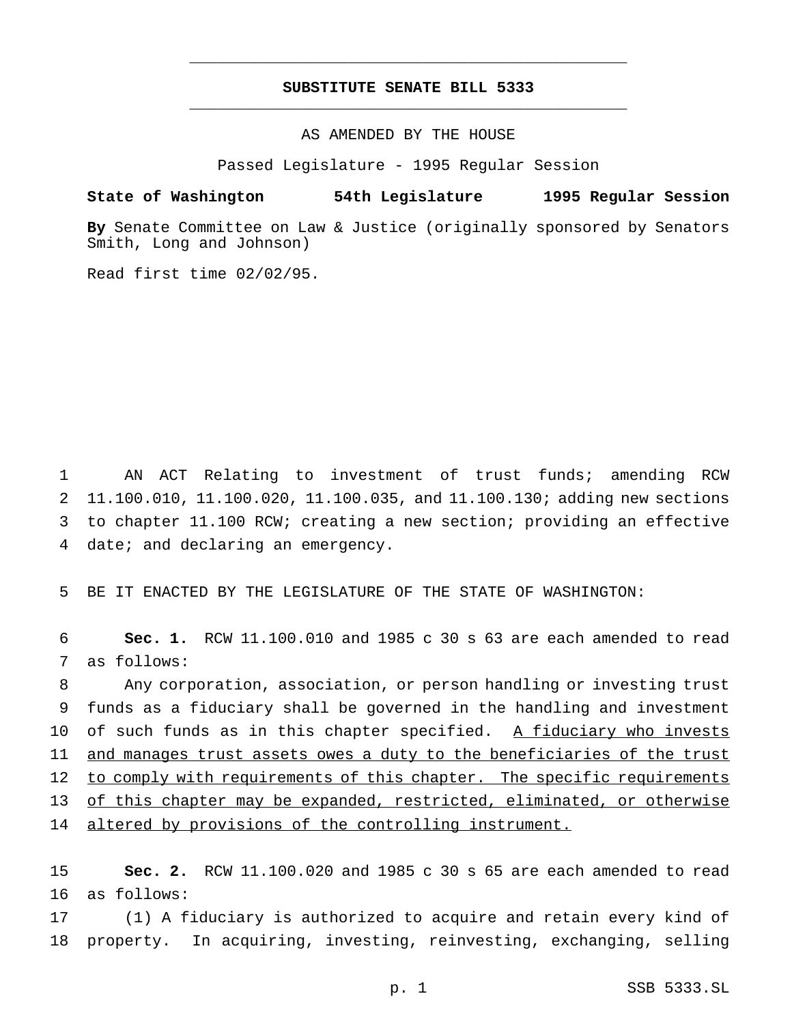## **SUBSTITUTE SENATE BILL 5333** \_\_\_\_\_\_\_\_\_\_\_\_\_\_\_\_\_\_\_\_\_\_\_\_\_\_\_\_\_\_\_\_\_\_\_\_\_\_\_\_\_\_\_\_\_\_\_

\_\_\_\_\_\_\_\_\_\_\_\_\_\_\_\_\_\_\_\_\_\_\_\_\_\_\_\_\_\_\_\_\_\_\_\_\_\_\_\_\_\_\_\_\_\_\_

AS AMENDED BY THE HOUSE

Passed Legislature - 1995 Regular Session

**State of Washington 54th Legislature 1995 Regular Session**

**By** Senate Committee on Law & Justice (originally sponsored by Senators Smith, Long and Johnson)

Read first time 02/02/95.

 AN ACT Relating to investment of trust funds; amending RCW 11.100.010, 11.100.020, 11.100.035, and 11.100.130; adding new sections to chapter 11.100 RCW; creating a new section; providing an effective date; and declaring an emergency.

5 BE IT ENACTED BY THE LEGISLATURE OF THE STATE OF WASHINGTON:

6 **Sec. 1.** RCW 11.100.010 and 1985 c 30 s 63 are each amended to read 7 as follows:

8 Any corporation, association, or person handling or investing trust 9 funds as a fiduciary shall be governed in the handling and investment 10 of such funds as in this chapter specified. A fiduciary who invests 11 and manages trust assets owes a duty to the beneficiaries of the trust 12 to comply with requirements of this chapter. The specific requirements 13 of this chapter may be expanded, restricted, eliminated, or otherwise 14 altered by provisions of the controlling instrument.

15 **Sec. 2.** RCW 11.100.020 and 1985 c 30 s 65 are each amended to read 16 as follows:

17 (1) A fiduciary is authorized to acquire and retain every kind of 18 property. In acquiring, investing, reinvesting, exchanging, selling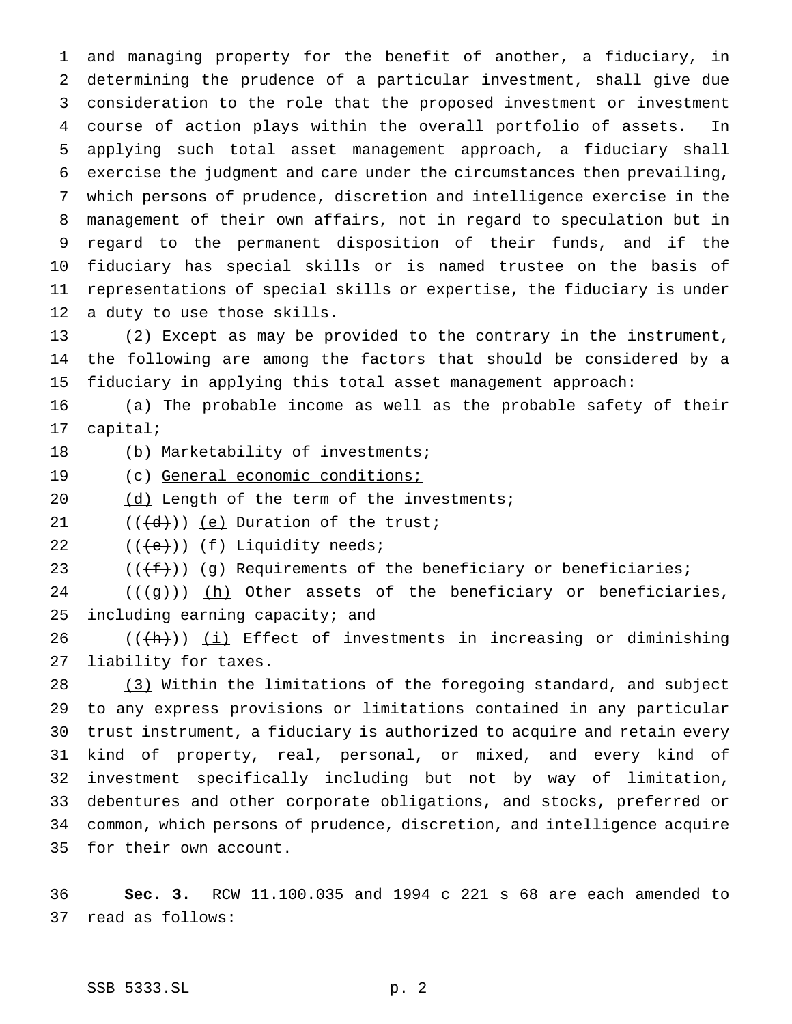and managing property for the benefit of another, a fiduciary, in determining the prudence of a particular investment, shall give due consideration to the role that the proposed investment or investment course of action plays within the overall portfolio of assets. In applying such total asset management approach, a fiduciary shall exercise the judgment and care under the circumstances then prevailing, which persons of prudence, discretion and intelligence exercise in the management of their own affairs, not in regard to speculation but in regard to the permanent disposition of their funds, and if the fiduciary has special skills or is named trustee on the basis of representations of special skills or expertise, the fiduciary is under a duty to use those skills.

 (2) Except as may be provided to the contrary in the instrument, the following are among the factors that should be considered by a fiduciary in applying this total asset management approach:

 (a) The probable income as well as the probable safety of their capital;

(b) Marketability of investments;

19 (c) General economic conditions;

20 (d) Length of the term of the investments;

21  $((\{d\}))(e)$  Duration of the trust;

 $((e))$   $(f)$  Liquidity needs;

23  $((\text{#}))$  (g) Requirements of the beneficiary or beneficiaries;

24  $((\{g\})$ )  $(h)$  Other assets of the beneficiary or beneficiaries, including earning capacity; and

26 ( $(\overline{\text{h}})$ ) (i) Effect of investments in increasing or diminishing liability for taxes.

28 (3) Within the limitations of the foregoing standard, and subject to any express provisions or limitations contained in any particular trust instrument, a fiduciary is authorized to acquire and retain every kind of property, real, personal, or mixed, and every kind of investment specifically including but not by way of limitation, debentures and other corporate obligations, and stocks, preferred or common, which persons of prudence, discretion, and intelligence acquire for their own account.

 **Sec. 3.** RCW 11.100.035 and 1994 c 221 s 68 are each amended to read as follows: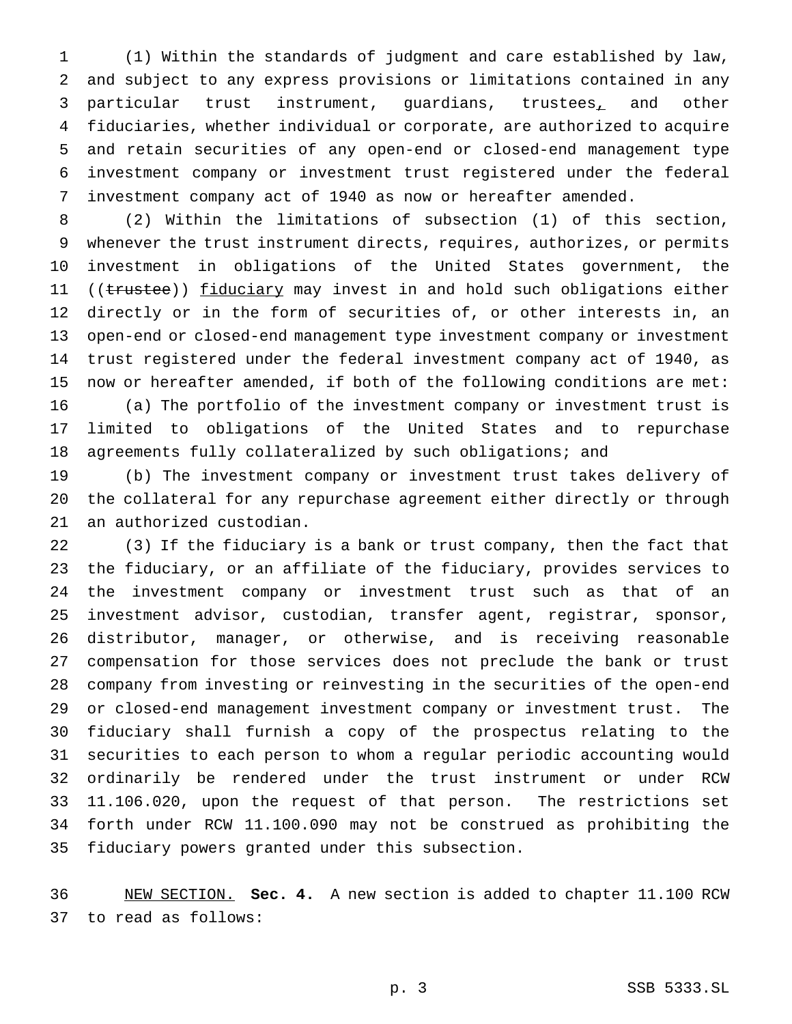(1) Within the standards of judgment and care established by law, and subject to any express provisions or limitations contained in any 3 particular trust instrument, guardians, trustees, and other fiduciaries, whether individual or corporate, are authorized to acquire and retain securities of any open-end or closed-end management type investment company or investment trust registered under the federal investment company act of 1940 as now or hereafter amended.

 (2) Within the limitations of subsection (1) of this section, whenever the trust instrument directs, requires, authorizes, or permits investment in obligations of the United States government, the 11 ((trustee)) fiduciary may invest in and hold such obligations either directly or in the form of securities of, or other interests in, an open-end or closed-end management type investment company or investment trust registered under the federal investment company act of 1940, as now or hereafter amended, if both of the following conditions are met: (a) The portfolio of the investment company or investment trust is limited to obligations of the United States and to repurchase agreements fully collateralized by such obligations; and

 (b) The investment company or investment trust takes delivery of the collateral for any repurchase agreement either directly or through an authorized custodian.

 (3) If the fiduciary is a bank or trust company, then the fact that the fiduciary, or an affiliate of the fiduciary, provides services to the investment company or investment trust such as that of an investment advisor, custodian, transfer agent, registrar, sponsor, distributor, manager, or otherwise, and is receiving reasonable compensation for those services does not preclude the bank or trust company from investing or reinvesting in the securities of the open-end or closed-end management investment company or investment trust. The fiduciary shall furnish a copy of the prospectus relating to the securities to each person to whom a regular periodic accounting would ordinarily be rendered under the trust instrument or under RCW 11.106.020, upon the request of that person. The restrictions set forth under RCW 11.100.090 may not be construed as prohibiting the fiduciary powers granted under this subsection.

 NEW SECTION. **Sec. 4.** A new section is added to chapter 11.100 RCW to read as follows: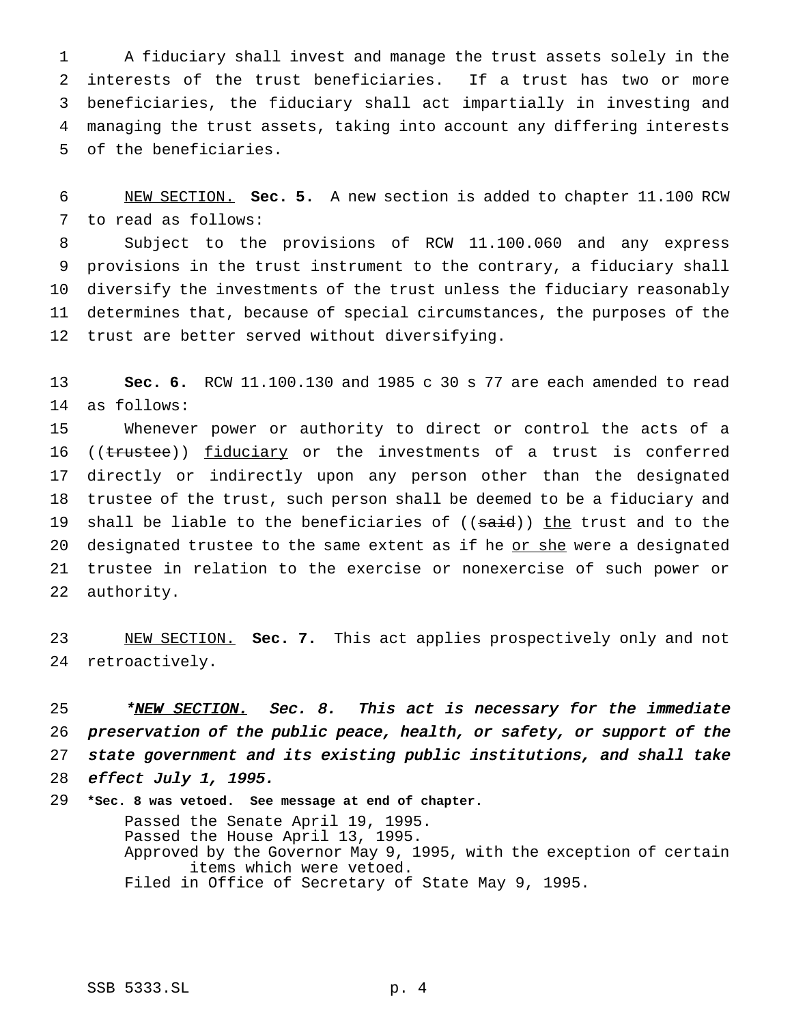A fiduciary shall invest and manage the trust assets solely in the interests of the trust beneficiaries. If a trust has two or more beneficiaries, the fiduciary shall act impartially in investing and managing the trust assets, taking into account any differing interests of the beneficiaries.

 NEW SECTION. **Sec. 5.** A new section is added to chapter 11.100 RCW to read as follows:

 Subject to the provisions of RCW 11.100.060 and any express provisions in the trust instrument to the contrary, a fiduciary shall diversify the investments of the trust unless the fiduciary reasonably determines that, because of special circumstances, the purposes of the trust are better served without diversifying.

 **Sec. 6.** RCW 11.100.130 and 1985 c 30 s 77 are each amended to read as follows:

 Whenever power or authority to direct or control the acts of a 16 ((trustee)) fiduciary or the investments of a trust is conferred directly or indirectly upon any person other than the designated trustee of the trust, such person shall be deemed to be a fiduciary and 19 shall be liable to the beneficiaries of ((said)) the trust and to the 20 designated trustee to the same extent as if he or she were a designated trustee in relation to the exercise or nonexercise of such power or authority.

 NEW SECTION. **Sec. 7.** This act applies prospectively only and not retroactively.

25 \*NEW SECTION. Sec. 8. This act is necessary for the immediate preservation of the public peace, health, or safety, or support of the state government and its existing public institutions, and shall take effect July 1, 1995.

 **\*Sec. 8 was vetoed. See message at end of chapter.** Passed the Senate April 19, 1995. Passed the House April 13, 1995. Approved by the Governor May 9, 1995, with the exception of certain items which were vetoed. Filed in Office of Secretary of State May 9, 1995.